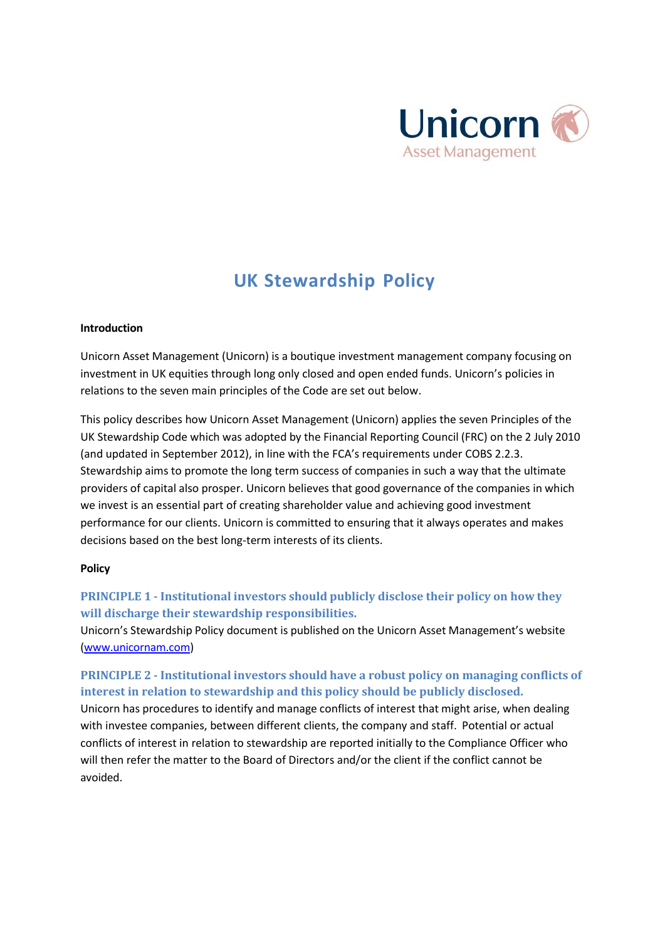

# **UK Stewardship Policy**

### **Introduction**

Unicorn Asset Management (Unicorn) is a boutique investment management company focusing on investment in UK equities through long only closed and open ended funds. Unicorn's policies in relations to the seven main principles of the Code are set out below.

This policy describes how Unicorn Asset Management (Unicorn) applies the seven Principles of the UK Stewardship Code which was adopted by the Financial Reporting Council (FRC) on the 2 July 2010 (and updated in September 2012), in line with the FCA's requirements under COBS 2.2.3. Stewardship aims to promote the long term success of companies in such a way that the ultimate providers of capital also prosper. Unicorn believes that good governance of the companies in which we invest is an essential part of creating shareholder value and achieving good investment performance for our clients. Unicorn is committed to ensuring that it always operates and makes decisions based on the best long-term interests of its clients.

#### **Policy**

# **PRINCIPLE 1 - Institutional investors should publicly disclose their policy on how they will discharge their stewardship responsibilities.**

Unicorn's Stewardship Policy document is published on the Unicorn Asset Management's website [\(www.unicornam.com\)](http://www.unicornam.com/)

# **PRINCIPLE 2 - Institutional investors should have a robust policy on managing conflicts of interest in relation to stewardship and this policy should be publicly disclosed.**

Unicorn has procedures to identify and manage conflicts of interest that might arise, when dealing with investee companies, between different clients, the company and staff. Potential or actual conflicts of interest in relation to stewardship are reported initially to the Compliance Officer who will then refer the matter to the Board of Directors and/or the client if the conflict cannot be avoided.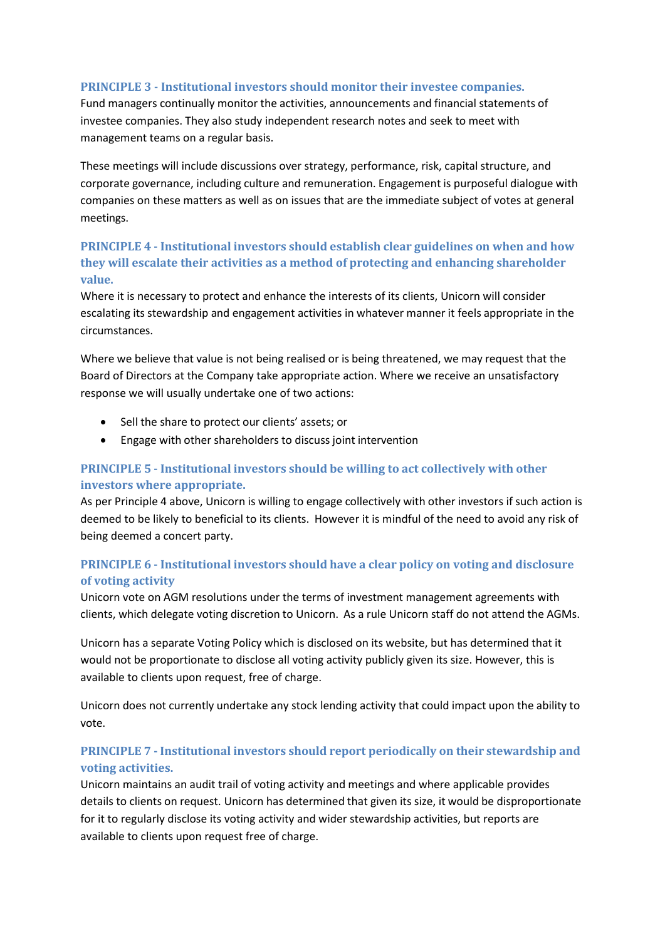## **PRINCIPLE 3 - Institutional investors should monitor their investee companies.**

Fund managers continually monitor the activities, announcements and financial statements of investee companies. They also study independent research notes and seek to meet with management teams on a regular basis.

These meetings will include discussions over strategy, performance, risk, capital structure, and corporate governance, including culture and remuneration. Engagement is purposeful dialogue with companies on these matters as well as on issues that are the immediate subject of votes at general meetings.

# **PRINCIPLE 4 - Institutional investors should establish clear guidelines on when and how they will escalate their activities as a method of protecting and enhancing shareholder value.**

Where it is necessary to protect and enhance the interests of its clients, Unicorn will consider escalating its stewardship and engagement activities in whatever manner it feels appropriate in the circumstances.

Where we believe that value is not being realised or is being threatened, we may request that the Board of Directors at the Company take appropriate action. Where we receive an unsatisfactory response we will usually undertake one of two actions:

- Sell the share to protect our clients' assets; or
- Engage with other shareholders to discuss joint intervention

# **PRINCIPLE 5 - Institutional investors should be willing to act collectively with other investors where appropriate.**

As per Principle 4 above, Unicorn is willing to engage collectively with other investors if such action is deemed to be likely to beneficial to its clients. However it is mindful of the need to avoid any risk of being deemed a concert party.

# **PRINCIPLE 6 - Institutional investors should have a clear policy on voting and disclosure of voting activity**

Unicorn vote on AGM resolutions under the terms of investment management agreements with clients, which delegate voting discretion to Unicorn. As a rule Unicorn staff do not attend the AGMs.

Unicorn has a separate Voting Policy which is disclosed on its website, but has determined that it would not be proportionate to disclose all voting activity publicly given its size. However, this is available to clients upon request, free of charge.

Unicorn does not currently undertake any stock lending activity that could impact upon the ability to vote.

# **PRINCIPLE 7 - Institutional investors should report periodically on their stewardship and voting activities.**

Unicorn maintains an audit trail of voting activity and meetings and where applicable provides details to clients on request. Unicorn has determined that given its size, it would be disproportionate for it to regularly disclose its voting activity and wider stewardship activities, but reports are available to clients upon request free of charge.